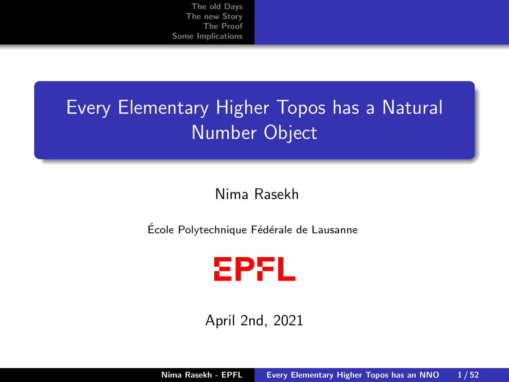## <span id="page-0-0"></span>Every Elementary Higher Topos has a Natural Number Object

#### Nima Rasekh

École Polytechnique Fédérale de Lausanne



April 2nd, 2021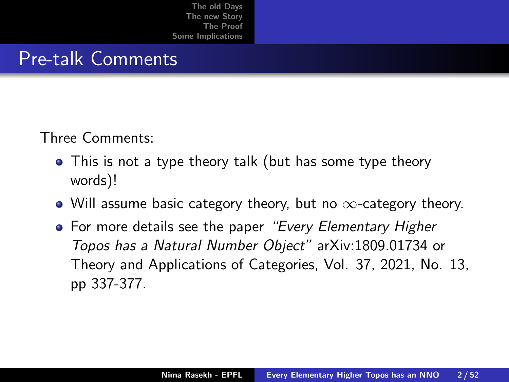#### Pre-talk Comments

Three Comments:

- This is not a type theory talk (but has some type theory words)!
- Will assume basic category theory, but no  $\infty$ -category theory.
- For more details see the paper "Every Elementary Higher Topos has a Natural Number Object" arXiv:1809.01734 or Theory and Applications of Categories, Vol. 37, 2021, No. 13, pp 337-377.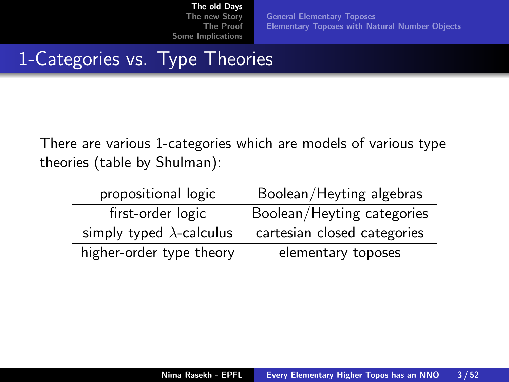[General Elementary Toposes](#page-4-0) [Elementary Toposes with Natural Number Objects](#page-9-0)

## <span id="page-2-0"></span>1-Categories vs. Type Theories

There are various 1-categories which are models of various type theories (table by Shulman):

| propositional logic              | Boolean/Heyting algebras    |
|----------------------------------|-----------------------------|
| first-order logic                | Boolean/Heyting categories  |
| simply typed $\lambda$ -calculus | cartesian closed categories |
| higher-order type theory         | elementary toposes          |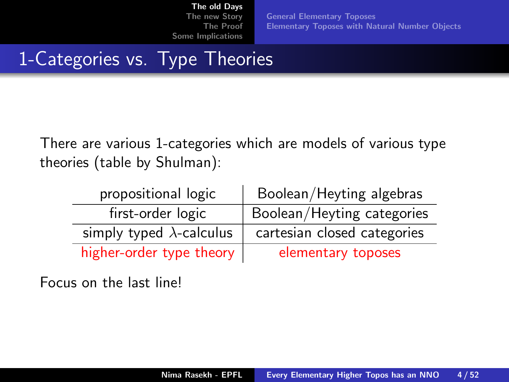[General Elementary Toposes](#page-4-0) [Elementary Toposes with Natural Number Objects](#page-9-0)

## 1-Categories vs. Type Theories

There are various 1-categories which are models of various type theories (table by Shulman):

| propositional logic              | Boolean/Heyting algebras    |
|----------------------------------|-----------------------------|
| first-order logic                | Boolean/Heyting categories  |
| simply typed $\lambda$ -calculus | cartesian closed categories |
| higher-order type theory         | elementary toposes          |

Focus on the last line!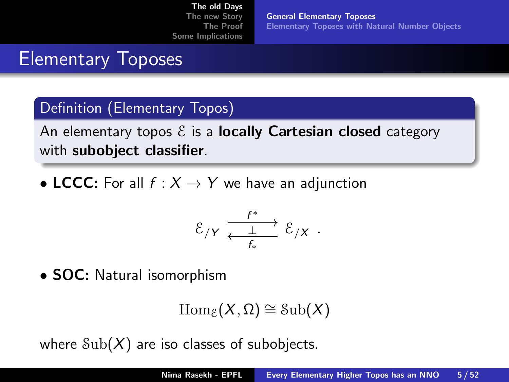[General Elementary Toposes](#page-4-0) [Elementary Toposes with Natural Number Objects](#page-9-0)

### <span id="page-4-0"></span>Elementary Toposes

#### Definition (Elementary Topos)

An elementary topos  $\mathcal E$  is a **locally Cartesian closed** category with subobject classifier.

• LCCC: For all  $f : X \rightarrow Y$  we have an adjunction

$$
\mathcal{E}_{/Y} \xrightarrow[\frac{f^*}{f_*}]{f^*} \mathcal{E}_{/X} .
$$

• **SOC:** Natural isomorphism

$$
\operatorname{Hom}_{\mathcal{E}}(X,\Omega)\cong\operatorname{Sub}(X)
$$

where  $\text{Sub}(X)$  are iso classes of subobjects.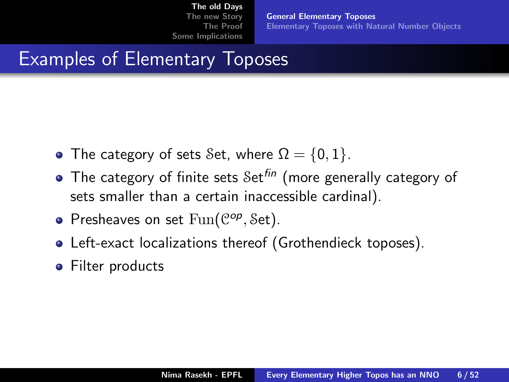[General Elementary Toposes](#page-4-0) [Elementary Toposes with Natural Number Objects](#page-9-0)

## Examples of Elementary Toposes

- The category of sets Set, where  $\Omega = \{0, 1\}$ .
- $\bullet$  The category of finite sets  $\mathcal{S}$ et<sup>fin</sup> (more generally category of sets smaller than a certain inaccessible cardinal).
- Presheaves on set  $Fun(\mathcal{C}^{op}, \mathcal{S}et)$ .
- Left-exact localizations thereof (Grothendieck toposes).
- Filter products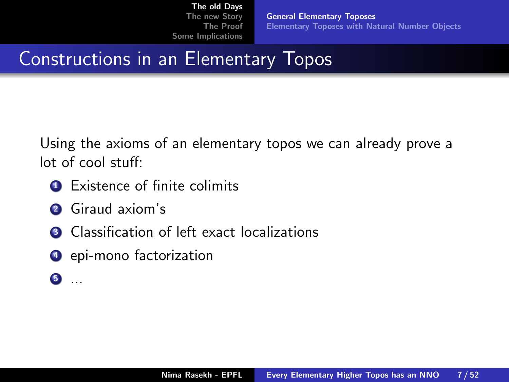[General Elementary Toposes](#page-4-0) [Elementary Toposes with Natural Number Objects](#page-9-0)

Constructions in an Elementary Topos

Using the axioms of an elementary topos we can already prove a lot of cool stuff:

- **1** Existence of finite colimits
- <sup>2</sup> Giraud axiom's
- <sup>3</sup> Classification of left exact localizations
- **4** epi-mono factorization
- <sup>5</sup> ...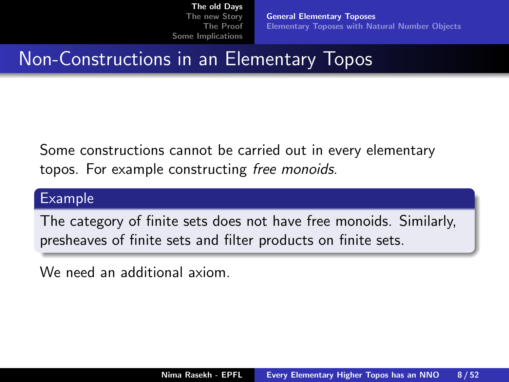[General Elementary Toposes](#page-4-0) [Elementary Toposes with Natural Number Objects](#page-9-0)

Non-Constructions in an Elementary Topos

Some constructions cannot be carried out in every elementary topos. For example constructing free monoids.

#### Example

The category of finite sets does not have free monoids. Similarly, presheaves of finite sets and filter products on finite sets.

We need an additional axiom.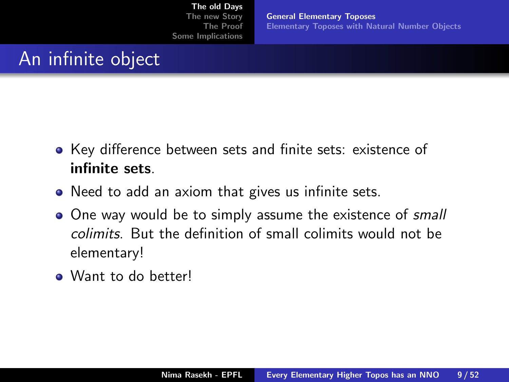[General Elementary Toposes](#page-4-0) [Elementary Toposes with Natural Number Objects](#page-9-0)

## An infinite object

- Key difference between sets and finite sets: existence of infinite sets.
- Need to add an axiom that gives us infinite sets.
- One way would be to simply assume the existence of *small* colimits. But the definition of small colimits would not be elementary!
- Want to do better!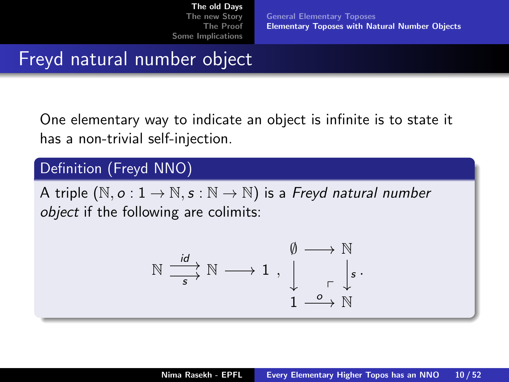[General Elementary Toposes](#page-4-0) [Elementary Toposes with Natural Number Objects](#page-9-0)

## <span id="page-9-0"></span>Freyd natural number object

One elementary way to indicate an object is infinite is to state it has a non-trivial self-injection.

#### Definition (Freyd NNO)

A triple  $(N, o: 1 \rightarrow N, s: N \rightarrow N)$  is a Freyd natural number object if the following are colimits:

$$
\mathbb{N} \xrightarrow{\text{id}} \mathbb{N} \longrightarrow 1 , \qquad \downarrow \qquad \qquad \downarrow \mathbb{N} \\ \downarrow \qquad \qquad \downarrow \qquad \downarrow \mathbb{N} \\ 1 \xrightarrow{\text{o}} \mathbb{N}
$$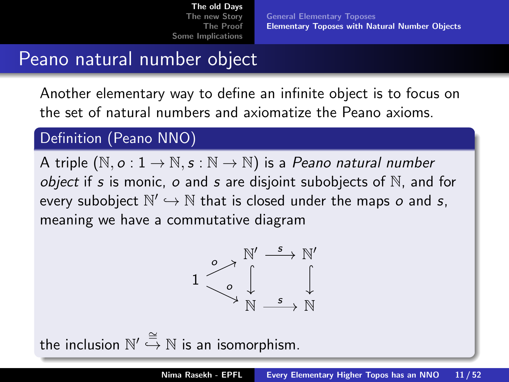## Peano natural number object

Another elementary way to define an infinite object is to focus on the set of natural numbers and axiomatize the Peano axioms.

#### Definition (Peano NNO)

A triple  $(N, o: 1 \rightarrow N, s: N \rightarrow N)$  is a Peano natural number *object* if s is monic,  $o$  and s are disjoint subobjects of  $\mathbb N$ , and for every subobject  $\mathbb{N}' \hookrightarrow \mathbb{N}$  that is closed under the maps  $o$  and  $s,$ meaning we have a commutative diagram



the inclusion  $\mathbb{N}' \stackrel{\cong}{\hookrightarrow} \mathbb{N}$  is an isomorphism.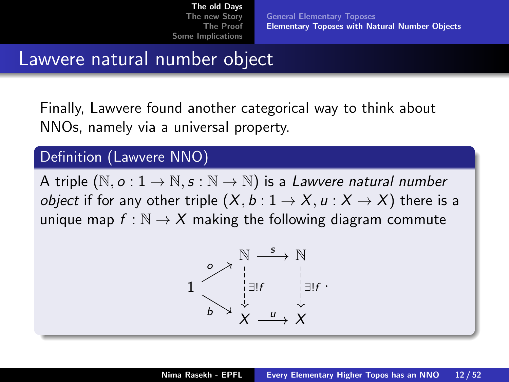[General Elementary Toposes](#page-4-0) [Elementary Toposes with Natural Number Objects](#page-9-0)

### Lawvere natural number object

Finally, Lawvere found another categorical way to think about NNOs, namely via a universal property.

#### Definition (Lawvere NNO)

A triple  $(N, o: 1 \rightarrow N, s: N \rightarrow N)$  is a Lawvere natural number *object* if for any other triple  $(X, b: 1 \rightarrow X, u: X \rightarrow X)$  there is a unique map  $f : \mathbb{N} \to X$  making the following diagram commute

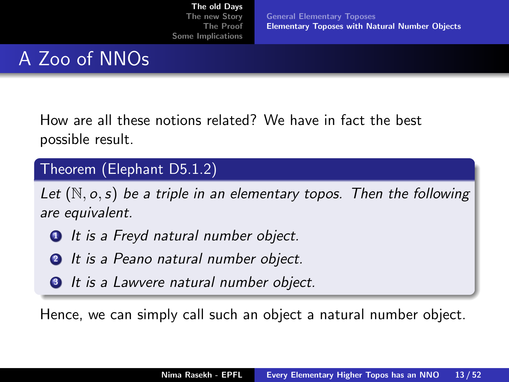[General Elementary Toposes](#page-4-0) [Elementary Toposes with Natural Number Objects](#page-9-0)

## A Zoo of NNOs

How are all these notions related? We have in fact the best possible result.

#### Theorem (Elephant D5.1.2)

Let  $(N, o, s)$  be a triple in an elementary topos. Then the following are equivalent.

- **1** It is a Freyd natural number object.
- **2** It is a Peano natural number object.
- **3** It is a Lawvere natural number object.

Hence, we can simply call such an object a natural number object.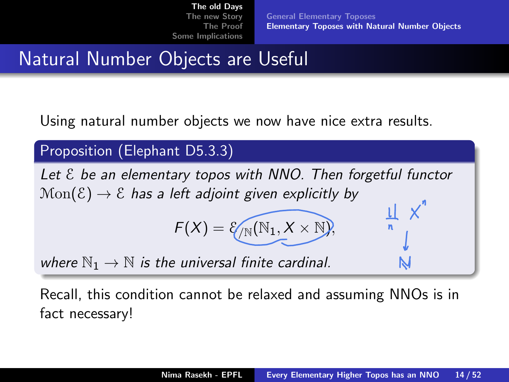[General Elementary Toposes](#page-4-0) [Elementary Toposes with Natural Number Objects](#page-9-0)

## Natural Number Objects are Useful

Using natural number objects we now have nice extra results.

Proposition (Elephant D5.3.3)

Let  $\epsilon$  be an elementary topos with NNO. Then forgetful functor  $Mon(\mathcal{E}) \rightarrow \mathcal{E}$  has a left adjoint given explicitly by  $\frac{1}{n}$   $\times$ <sup>n</sup>

$$
F(X) = \mathcal{E}_{\sqrt{\mathbb{N}}}(\mathbb{N}_1, X \times \mathbb{N}),
$$

where  $\mathbb{N}_1 \to \mathbb{N}$  is the universal finite cardinal.

Recall, this condition cannot be relaxed and assuming NNOs is in fact necessary!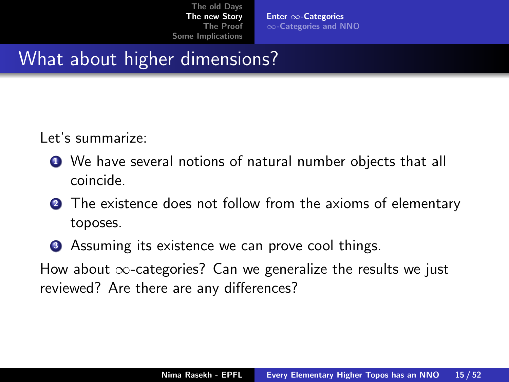Enter ∞[-Categories](#page-14-0) ∞[-Categories and NNO](#page-22-0)

## <span id="page-14-0"></span>What about higher dimensions?

Let's summarize:

- We have several notions of natural number objects that all coincide.
- **2** The existence does not follow from the axioms of elementary toposes.
- **3** Assuming its existence we can prove cool things.

How about  $\infty$ -categories? Can we generalize the results we just reviewed? Are there are any differences?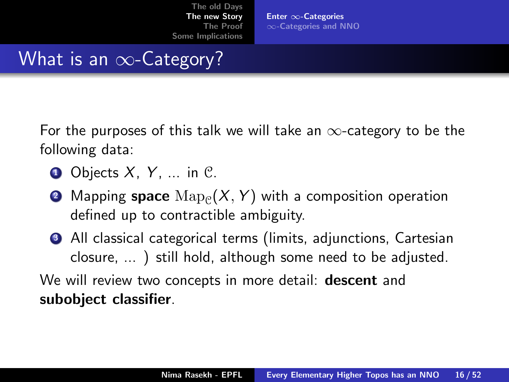Enter ∞[-Categories](#page-14-0) ∞[-Categories and NNO](#page-22-0)

## What is an  $\infty$ -Category?

For the purposes of this talk we will take an  $\infty$ -category to be the following data:

- $\bullet$  Objects X, Y, ... in C.
- $\bullet$  Mapping  ${\sf space}\ {\rm Map}_{{\mathfrak C}}(X,Y)$  with a composition operation defined up to contractible ambiguity.
- <sup>3</sup> All classical categorical terms (limits, adjunctions, Cartesian closure, ... ) still hold, although some need to be adjusted.

We will review two concepts in more detail: **descent** and subobject classifier.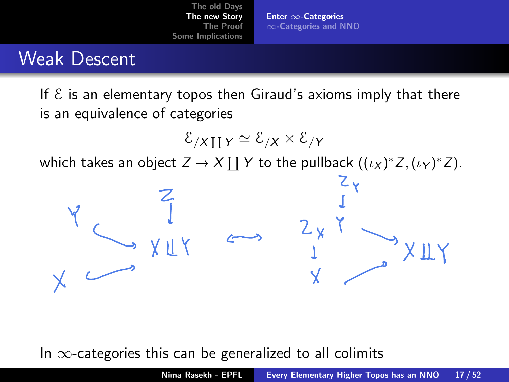Enter ∞[-Categories](#page-14-0) ∞[-Categories and NNO](#page-22-0)

### Weak Descent

If  $\epsilon$  is an elementary topos then Giraud's axioms imply that there is an equivalence of categories

$$
\mathcal{E}_{/X \coprod Y} \simeq \mathcal{E}_{/X} \times \mathcal{E}_{/Y}
$$
 which takes an object  $Z \to X \coprod Y$  to the pullback  $((\iota_X)^* Z, (\iota_Y)^* Z)$ .



In  $\infty$ -categories this can be generalized to all colimits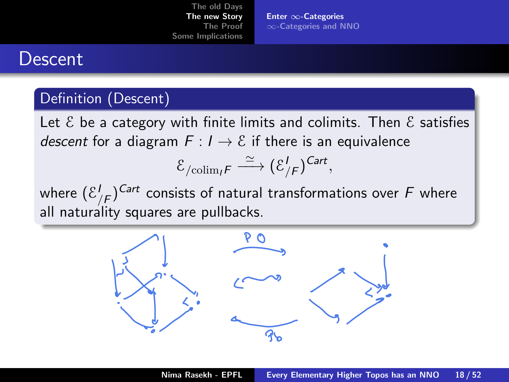Enter ∞[-Categories](#page-14-0) ∞[-Categories and NNO](#page-22-0)

#### Descent

#### Definition (Descent)

Let  $\epsilon$  be a category with finite limits and colimits. Then  $\epsilon$  satisfies descent for a diagram  $F: I \to E$  if there is an equivalence

$$
\mathcal{E}_{\text{/colim}_{I}F} \xrightarrow{\simeq} (\mathcal{E}_{/F}^{I})^{Cart},
$$

where  $(\mathcal{E}^I_{/F})^{Cart}$  consists of natural transformations over  $F$  where all naturality squares are pullbacks.

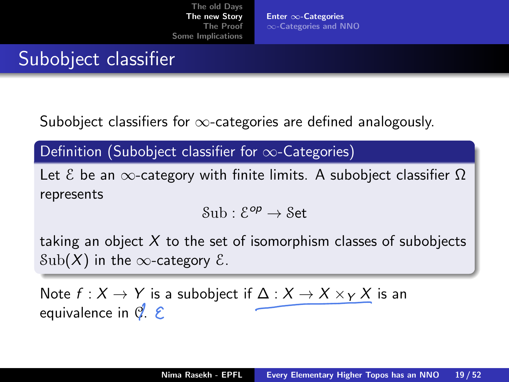Enter ∞[-Categories](#page-14-0) ∞[-Categories and NNO](#page-22-0)

## Subobject classifier

Subobject classifiers for  $\infty$ -categories are defined analogously.

Definition (Subobject classifier for  $\infty$ -Categories)

Let  $\mathcal E$  be an  $\infty$ -category with finite limits. A subobject classifier  $\Omega$ represents

$$
\mathcal{S}{\rm ub}:\mathcal{E}^{\textit{op}}\to\mathcal{S}\textit{et}
$$

taking an object  $X$  to the set of isomorphism classes of subobjects  $Sub(X)$  in the  $\infty$ -category  $\mathcal{E}$ .

Note  $f: X \to Y$  is a subobject if  $\Delta: X \to X \times_Y X$  is an equivalence in  $\mathcal{C}$ .  $\mathcal{E}$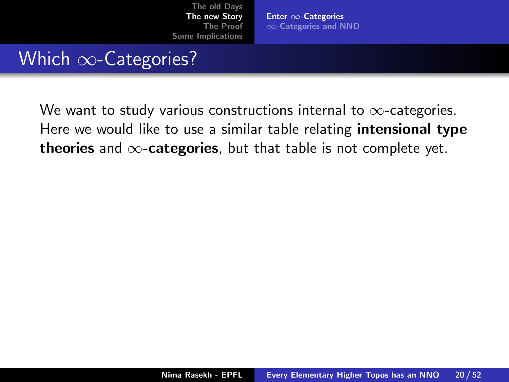Enter ∞[-Categories](#page-14-0) ∞[-Categories and NNO](#page-22-0)

### Which ∞-Categories?

We want to study various constructions internal to  $\infty$ -categories. Here we would like to use a similar table relating **intensional type** theories and  $\infty$ -categories, but that table is not complete yet.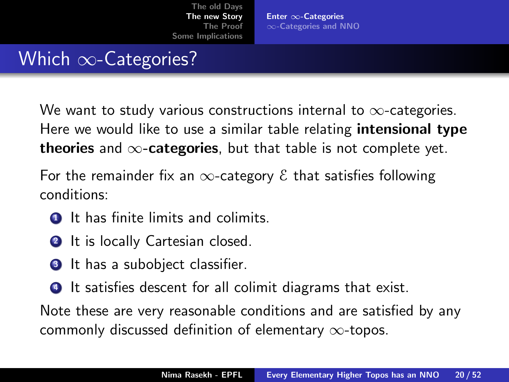Enter ∞[-Categories](#page-14-0) ∞[-Categories and NNO](#page-22-0)

## Which  $\infty$ -Categories?

We want to study various constructions internal to  $\infty$ -categories. Here we would like to use a similar table relating **intensional type** theories and  $\infty$ -categories, but that table is not complete yet.

For the remainder fix an  $\infty$ -category  $\epsilon$  that satisfies following conditions:

- $\bullet$  It has finite limits and colimits.
- **2** It is locally Cartesian closed.
- **3** It has a subobject classifier.
- <sup>4</sup> It satisfies descent for all colimit diagrams that exist.

Note these are very reasonable conditions and are satisfied by any commonly discussed definition of elementary ∞-topos.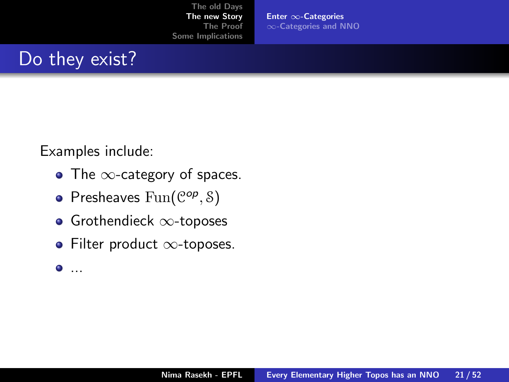Enter ∞[-Categories](#page-14-0) ∞[-Categories and NNO](#page-22-0)

## Do they exist?

Examples include:

- The  $\infty$ -category of spaces.
- Presheaves  $Fun(\mathcal{C}^{op}, \mathcal{S})$
- Grothendieck ∞-toposes
- Filter product ∞-toposes.
- $\bullet$  ...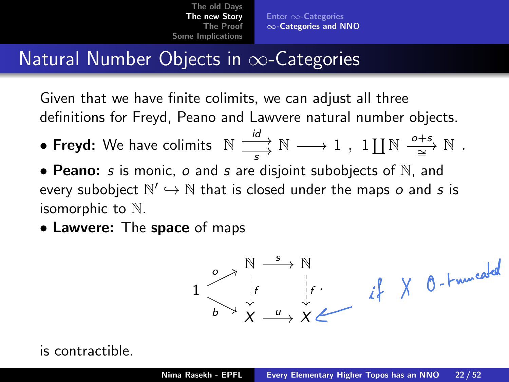Enter ∞[-Categories](#page-14-0) ∞[-Categories and NNO](#page-22-0)

## <span id="page-22-0"></span>Natural Number Objects in  $\infty$ -Categories

Given that we have finite colimits, we can adjust all three definitions for Freyd, Peano and Lawvere natural number objects.

- $\bullet$  Freyd: We have colimits  $\begin{array}{c} \mathbb{N} \longrightarrow \mathbb{N} \longrightarrow 1 \end{array}$  $\overrightarrow{s} \overset{\text{w}}{\rightarrow} \mathbb{N} \longrightarrow 1$ ,  $1 \coprod \mathbb{N} \overset{\text{o+s}}{\underset{\cong}{\simeq}} \mathbb{N}$  $\cong^{\rightarrow} \mathbb{N}$ .
- Peano: s is monic, o and s are disjoint subobjects of  $\mathbb N$ , and every subobject  $\mathbb{N}' \hookrightarrow \mathbb{N}$  that is closed under the maps  $o$  and  $s$  is isomorphic to N.
- Lawvere: The space of maps



#### is contractible.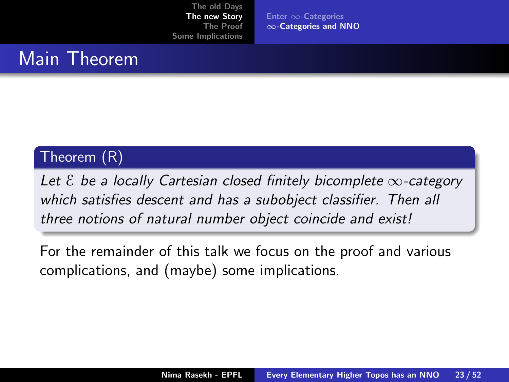Enter ∞[-Categories](#page-14-0) ∞[-Categories and NNO](#page-22-0)

### Main Theorem

#### Theorem (R)

Let  $\epsilon$  be a locally Cartesian closed finitely bicomplete  $\infty$ -category which satisfies descent and has a subobject classifier. Then all three notions of natural number object coincide and exist!

For the remainder of this talk we focus on the proof and various complications, and (maybe) some implications.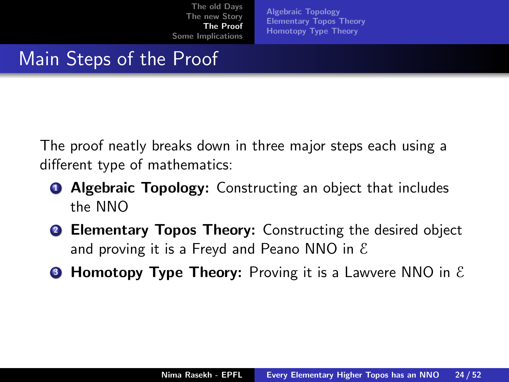[Algebraic Topology](#page-25-0) [Elementary Topos Theory](#page-28-0) [Homotopy Type Theory](#page-35-0)

## <span id="page-24-0"></span>Main Steps of the Proof

The proof neatly breaks down in three major steps each using a different type of mathematics:

- **4 Algebraic Topology:** Constructing an object that includes the NNO
- **2 Elementary Topos Theory:** Constructing the desired object and proving it is a Freyd and Peano NNO in  $\epsilon$
- **Homotopy Type Theory:** Proving it is a Lawvere NNO in  $\mathcal{E}$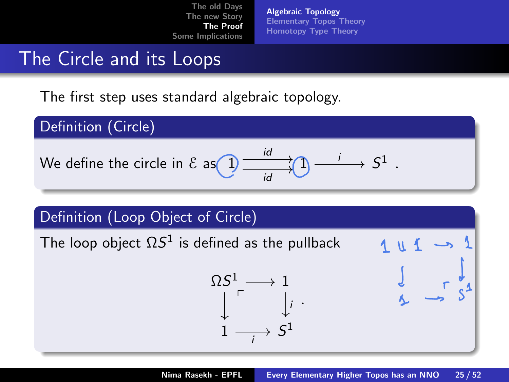[Algebraic Topology](#page-25-0) [Elementary Topos Theory](#page-28-0) [Homotopy Type Theory](#page-35-0)

### <span id="page-25-0"></span>The Circle and its Loops

The first step uses standard algebraic topology.

Definition (Circle) We define the circle in E as 1 1 S id 1 . id i

# Definition (Loop Object of Circle)

The loop object  $\Omega S^1$  is defined as the pullback

$$
\begin{array}{c}\n\Omega S^1 \longrightarrow 1 \\
\downarrow \quad \qquad \downarrow \quad \downarrow \\
1 \longrightarrow S^1\n\end{array}
$$



.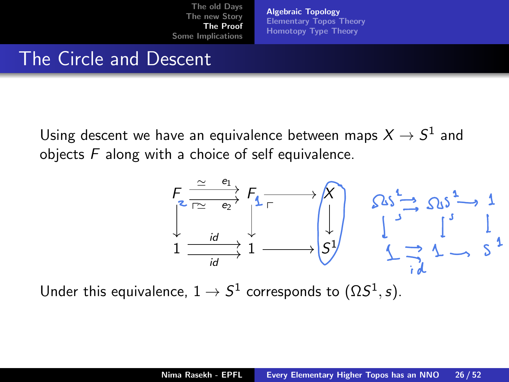[Algebraic Topology](#page-25-0) [Elementary Topos Theory](#page-28-0) [Homotopy Type Theory](#page-35-0)

#### The Circle and Descent

Using descent we have an equivalence between maps  $X\rightarrow S^1$  and objects  $F$  along with a choice of self equivalence.



Under this equivalence,  $1\to S^1$  corresponds to  $(\Omega S^1,s).$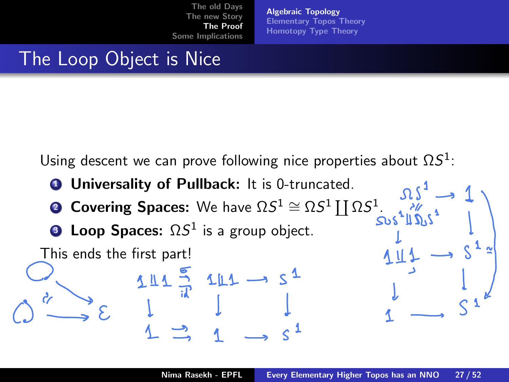[Algebraic Topology](#page-25-0) [Elementary Topos Theory](#page-28-0) [Homotopy Type Theory](#page-35-0)

## The Loop Object is Nice

Using descent we can prove following nice properties about  $\Omega S^1$ :

 $111 \rightarrow S^1$ 

- **1 Universality of Pullback:** It is 0-truncated.
- **2 Covering Spaces:** We have  $\Omega S^1 \cong \Omega S^1 \coprod \Omega S^1$ .
- **3 Loop Spaces:**  $\Omega S^1$  is a group object.

This ends the first part!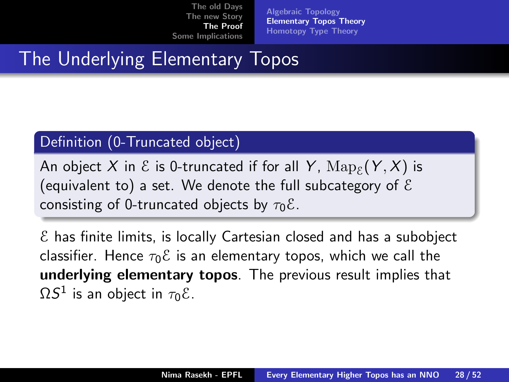[Algebraic Topology](#page-25-0) [Elementary Topos Theory](#page-28-0) [Homotopy Type Theory](#page-35-0)

## <span id="page-28-0"></span>The Underlying Elementary Topos

#### Definition (0-Truncated object)

An object  $X$  in  $\mathcal E$  is 0-truncated if for all  $\,$   $\mathrm{Map}_\mathcal E(Y,X)$  is (equivalent to) a set. We denote the full subcategory of  $\mathcal E$ consisting of 0-truncated objects by  $\tau_0 \mathcal{E}$ .

 $\epsilon$  has finite limits, is locally Cartesian closed and has a subobject classifier. Hence  $\tau_0 \mathcal{E}$  is an elementary topos, which we call the underlying elementary topos. The previous result implies that  $\Omega S^1$  is an object in  $\tau_0$ ε.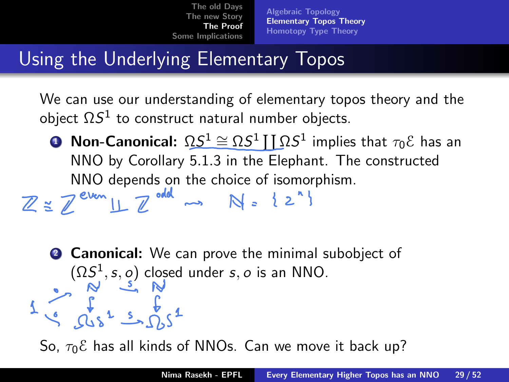[Algebraic Topology](#page-25-0) [Elementary Topos Theory](#page-28-0) [Homotopy Type Theory](#page-35-0)

## Using the Underlying Elementary Topos

We can use our understanding of elementary topos theory and the object  $\Omega S^1$  to construct natural number objects.

 $\bullet$  Non-Canonical:  $\Omega S^1 \cong \Omega S^1 \coprod \Omega S^1$  implies that  $\tau_0 \mathcal{E}$  has an NNO by Corollary 5.1.3 in the Elephant. The constructed

NNO depends on the choice of isomorphism.<br> $\mathbb{Z} \cong \mathbb{Z}^{e \vee e \wedge \text{L}} \sqcup \mathbb{Z}^{odd} \longrightarrow \text{N} \cong \{2^{n}\}$ 

**2 Canonical:** We can prove the minimal subobject of  $(\Omega S^1, s, o)$  closed under s, o is an NNO.

So,  $\tau_0$ <sup>E</sup> has all kinds of NNOs. Can we move it back up?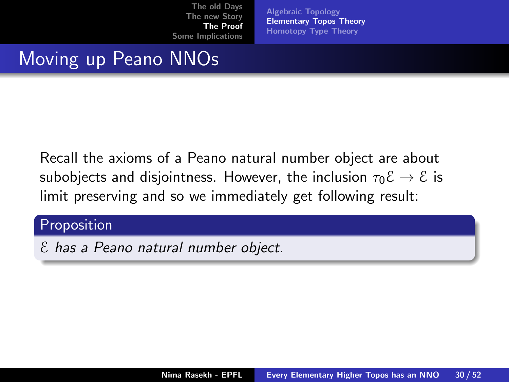[Algebraic Topology](#page-25-0) [Elementary Topos Theory](#page-28-0) [Homotopy Type Theory](#page-35-0)

## Moving up Peano NNOs

Recall the axioms of a Peano natural number object are about subobjects and disjointness. However, the inclusion  $\tau_0 \mathcal{E} \to \mathcal{E}$  is limit preserving and so we immediately get following result:

#### Proposition

E has a Peano natural number object.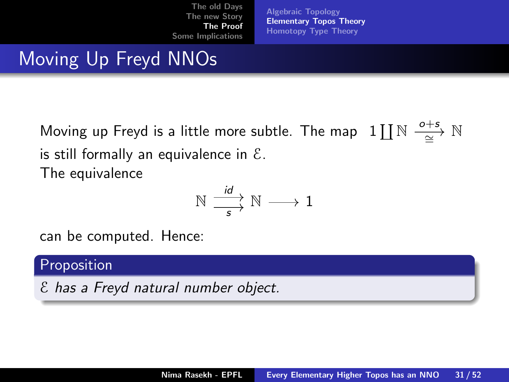[Algebraic Topology](#page-25-0) [Elementary Topos Theory](#page-28-0) [Homotopy Type Theory](#page-35-0)

## Moving Up Freyd NNOs

Moving up Freyd is a little more subtle. The map  $\text{array } 1 \coprod \mathbb{N} \stackrel{o+s}{\longrightarrow} \mathbb{N}$ ∼= is still formally an equivalence in  $\mathcal{E}$ . The equivalence

$$
\mathbb{N} \xrightarrow[\phantom{a}]{id} \mathbb{N} \longrightarrow 1
$$

can be computed. Hence:

#### **Proposition**

E has a Freyd natural number object.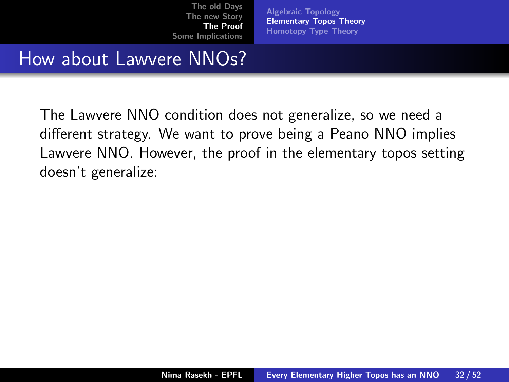[Algebraic Topology](#page-25-0) [Elementary Topos Theory](#page-28-0) [Homotopy Type Theory](#page-35-0)

### How about Lawvere NNOs?

The Lawvere NNO condition does not generalize, so we need a different strategy. We want to prove being a Peano NNO implies Lawvere NNO. However, the proof in the elementary topos setting doesn't generalize: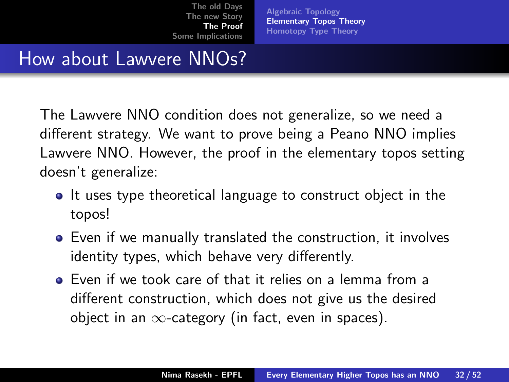[Algebraic Topology](#page-25-0) [Elementary Topos Theory](#page-28-0) [Homotopy Type Theory](#page-35-0)

## How about Lawvere NNOs?

The Lawvere NNO condition does not generalize, so we need a different strategy. We want to prove being a Peano NNO implies Lawvere NNO. However, the proof in the elementary topos setting doesn't generalize:

- It uses type theoretical language to construct object in the topos!
- Even if we manually translated the construction, it involves identity types, which behave very differently.
- Even if we took care of that it relies on a lemma from a different construction, which does not give us the desired object in an  $\infty$ -category (in fact, even in spaces).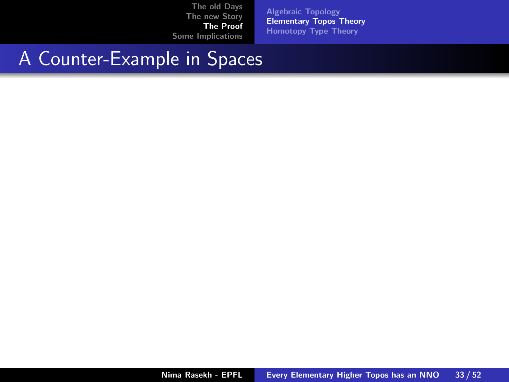[Algebraic Topology](#page-25-0) [Elementary Topos Theory](#page-28-0) [Homotopy Type Theory](#page-35-0)

## A Counter-Example in Spaces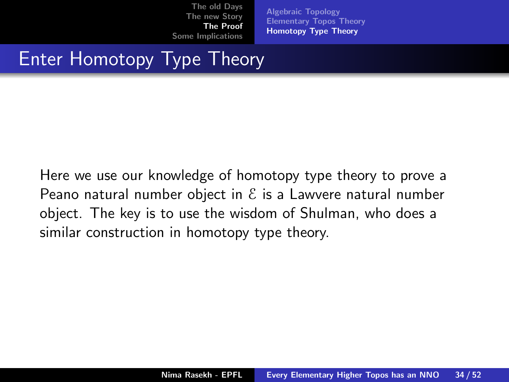[Algebraic Topology](#page-25-0) [Elementary Topos Theory](#page-28-0) [Homotopy Type Theory](#page-35-0)

## <span id="page-35-0"></span>Enter Homotopy Type Theory

Here we use our knowledge of homotopy type theory to prove a Peano natural number object in  $\mathcal E$  is a Lawvere natural number object. The key is to use the wisdom of Shulman, who does a similar construction in homotopy type theory.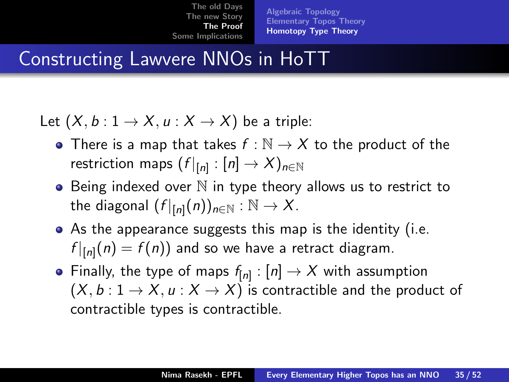[Algebraic Topology](#page-25-0) [Elementary Topos Theory](#page-28-0) [Homotopy Type Theory](#page-35-0)

## Constructing Lawvere NNOs in HoTT

Let  $(X, b: 1 \rightarrow X, u: X \rightarrow X)$  be a triple:

- There is a map that takes  $f : \mathbb{N} \to X$  to the product of the restriction maps  $(f|_{[n]}:[n]\rightarrow X)_{n\in\mathbb{N}}$
- $\bullet$  Being indexed over  $\mathbb N$  in type theory allows us to restrict to the diagonal  $(f|_{[n]}(n))_{n\in\mathbb{N}}:\mathbb{N}\to X$ .
- As the appearance suggests this map is the identity (i.e.  $f|_{[n]}(n) = f(n)$ ) and so we have a retract diagram.
- Finally, the type of maps  $f_{[n]}:[n]\rightarrow X$  with assumption  $(X, b: 1 \rightarrow X, u: X \rightarrow X)$  is contractible and the product of contractible types is contractible.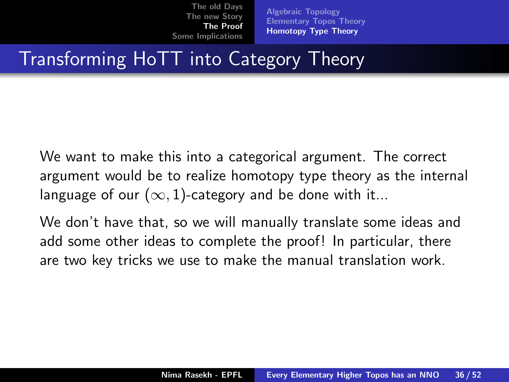[Algebraic Topology](#page-25-0) [Elementary Topos Theory](#page-28-0) [Homotopy Type Theory](#page-35-0)

## Transforming HoTT into Category Theory

We want to make this into a categorical argument. The correct argument would be to realize homotopy type theory as the internal language of our  $(\infty, 1)$ -category and be done with it...

We don't have that, so we will manually translate some ideas and add some other ideas to complete the proof! In particular, there are two key tricks we use to make the manual translation work.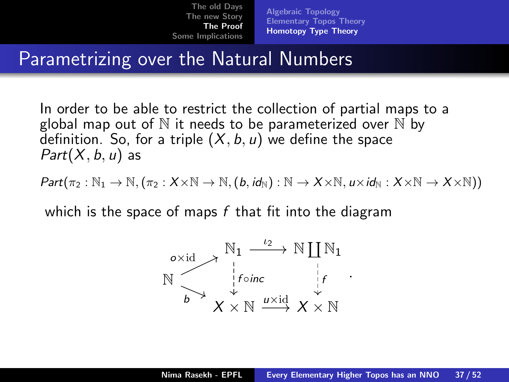[Algebraic Topology](#page-25-0) [Elementary Topos Theory](#page-28-0) [Homotopy Type Theory](#page-35-0)

## Parametrizing over the Natural Numbers

In order to be able to restrict the collection of partial maps to a global map out of  $\mathbb N$  it needs to be parameterized over  $\mathbb N$  by definition. So, for a triple  $(X, b, u)$  we define the space  $Part(X, b, u)$  as

 $Part(\pi_2 : \mathbb{N}_1 \to \mathbb{N}, (\pi_2 : X \times \mathbb{N} \to \mathbb{N}, (b, id_{\mathbb{N}}) : \mathbb{N} \to X \times \mathbb{N}, u \times id_{\mathbb{N}} : X \times \mathbb{N} \to X \times \mathbb{N}))$ 

which is the space of maps  $f$  that fit into the diagram

$$
\begin{array}{ccc}\n\circ \times \text{id} & \xrightarrow{\mathbb{N}_{1}} \xrightarrow{\iota_{2}} \mathbb{N} \coprod \mathbb{N}_{1} \\
\mathbb{N} & \xrightarrow{\downarrow} f \circ \text{inc} & \downarrow f \\
\downarrow & \downarrow & \downarrow \\
\downarrow & \times & \times \mathbb{N} \xrightarrow{u \times \text{id}} & X \times \mathbb{N}\n\end{array}
$$

.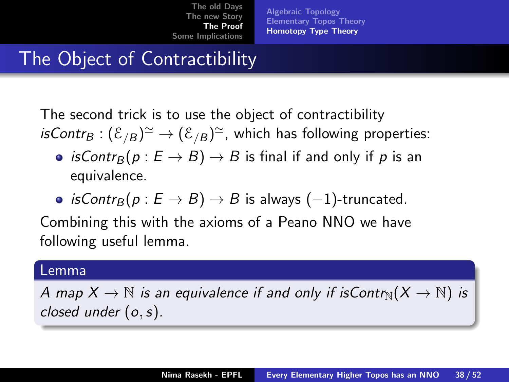[Algebraic Topology](#page-25-0) [Elementary Topos Theory](#page-28-0) [Homotopy Type Theory](#page-35-0)

## The Object of Contractibility

The second trick is to use the object of contractibility *isContr* $_B: (\mathcal{E}_{/B})^{\simeq} \to (\mathcal{E}_{/B})^{\simeq}$ *,* which has following properties:

- isContr<sub>B</sub> $(p : E \rightarrow B) \rightarrow B$  is final if and only if p is an equivalence.
- isContr<sub>B</sub> $(p : E \rightarrow B) \rightarrow B$  is always (-1)-truncated.

Combining this with the axioms of a Peano NNO we have following useful lemma.

#### Lemma

A map  $X \to \mathbb{N}$  is an equivalence if and only if is Contr $_N(X \to \mathbb{N})$  is closed under  $(o, s)$ .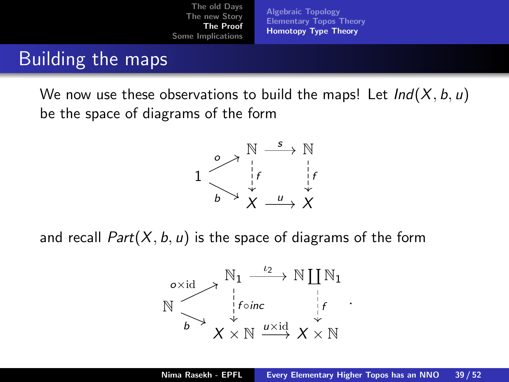[Algebraic Topology](#page-25-0) [Elementary Topos Theory](#page-28-0) [Homotopy Type Theory](#page-35-0)

### Building the maps

We now use these observations to build the maps! Let  $Ind(X, b, u)$ be the space of diagrams of the form



and recall  $Part(X, b, u)$  is the space of diagrams of the form

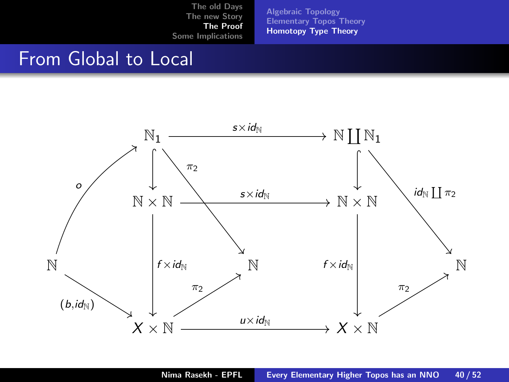[Algebraic Topology](#page-25-0) [Elementary Topos Theory](#page-28-0) [Homotopy Type Theory](#page-35-0)

### From Global to Local

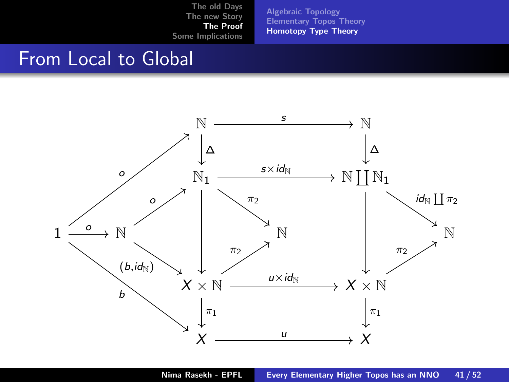[Algebraic Topology](#page-25-0) [Elementary Topos Theory](#page-28-0) [Homotopy Type Theory](#page-35-0)

### From Local to Global

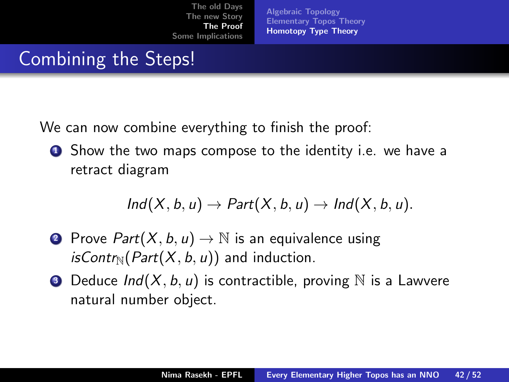[Algebraic Topology](#page-25-0) [Elementary Topos Theory](#page-28-0) [Homotopy Type Theory](#page-35-0)

## Combining the Steps!

We can now combine everything to finish the proof:

**1** Show the two maps compose to the identity i.e. we have a retract diagram

$$
Ind(X, b, u) \to Part(X, b, u) \to Ind(X, b, u).
$$

- **2** Prove  $Part(X, b, u) \rightarrow \mathbb{N}$  is an equivalence using  $isContr_{\mathbb{N}}(Part(X, b, u))$  and induction.
- **3** Deduce  $Ind(X, b, u)$  is contractible, proving  $\mathbb N$  is a Lawvere natural number object.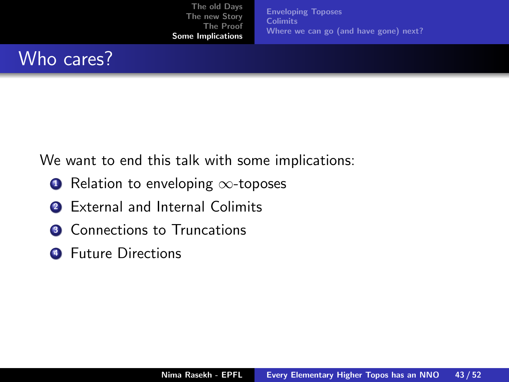[Enveloping Toposes](#page-45-0) **[Colimits](#page-47-0)** [Where we can go \(and have gone\) next?](#page-51-0)

#### <span id="page-44-0"></span>Who cares?

We want to end this talk with some implications:

- **■** Relation to enveloping  $\infty$ -toposes
- **2** External and Internal Colimits
- **3** Connections to Truncations
- **4** Future Directions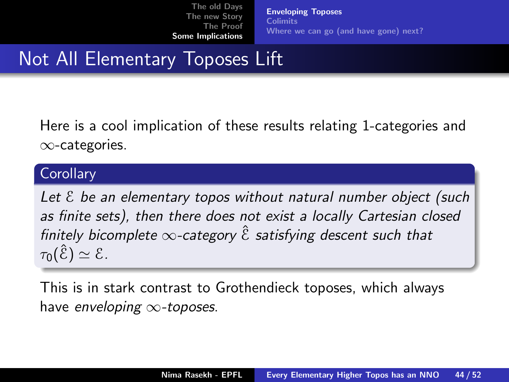[Enveloping Toposes](#page-45-0) **[Colimits](#page-47-0)** [Where we can go \(and have gone\) next?](#page-51-0)

## <span id="page-45-0"></span>Not All Elementary Toposes Lift

Here is a cool implication of these results relating 1-categories and ∞-categories.

#### **Corollary**

Let  $\epsilon$  be an elementary topos without natural number object (such as finite sets), then there does not exist a locally Cartesian closed finitely bicomplete  $\infty$ -category  $\hat{\epsilon}$  satisfying descent such that  $\tau_0(\hat{\mathcal{E}}) \simeq \mathcal{E}.$ 

This is in stark contrast to Grothendieck toposes, which always have enveloping  $\infty$ -toposes.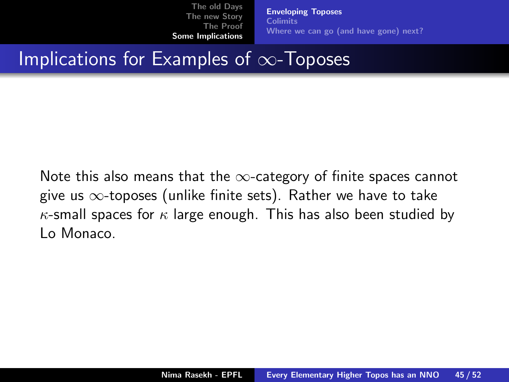[Enveloping Toposes](#page-45-0) **[Colimits](#page-47-0)** [Where we can go \(and have gone\) next?](#page-51-0)

### Implications for Examples of ∞-Toposes

Note this also means that the  $\infty$ -category of finite spaces cannot give us  $\infty$ -toposes (unlike finite sets). Rather we have to take  $\kappa$ -small spaces for  $\kappa$  large enough. This has also been studied by Lo Monaco.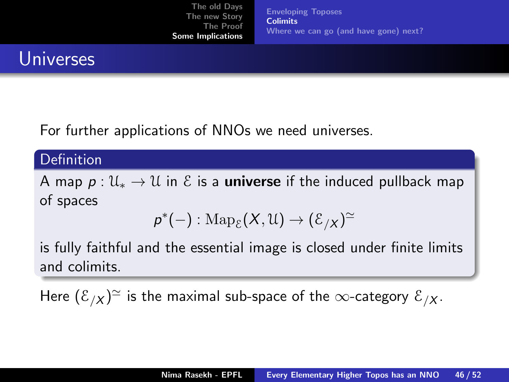[Enveloping Toposes](#page-45-0) **[Colimits](#page-47-0)** [Where we can go \(and have gone\) next?](#page-51-0)

## <span id="page-47-0"></span>Universes

For further applications of NNOs we need universes.

#### **Definition**

A map  $p: \mathcal{U}_* \to \mathcal{U}$  in  $\mathcal{E}$  is a **universe** if the induced pullback map of spaces

$$
p^*(-): \operatorname{Map}_{\mathcal{E}}(X,\mathcal{U}) \to (\mathcal{E}_{/X})^{\simeq}
$$

is fully faithful and the essential image is closed under finite limits and colimits.

Here  $(\mathcal{E}_{/\mathcal{X}})^\simeq$  is the maximal sub-space of the  $\infty$ -category  $\mathcal{E}_{/\mathcal{X}}.$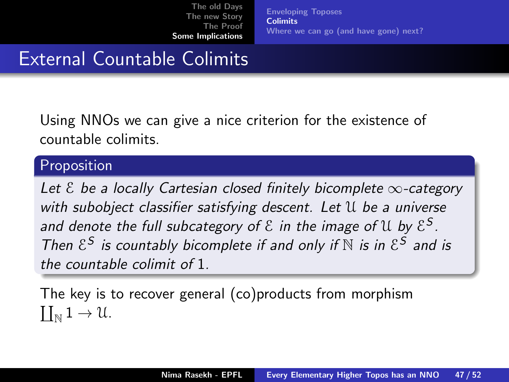[Enveloping Toposes](#page-45-0) **[Colimits](#page-47-0)** [Where we can go \(and have gone\) next?](#page-51-0)

## External Countable Colimits

Using NNOs we can give a nice criterion for the existence of countable colimits.

#### Proposition

Let  $\epsilon$  be a locally Cartesian closed finitely bicomplete  $\infty$ -category with subobject classifier satisfying descent. Let U be a universe and denote the full subcategory of  $\mathcal E$  in the image of  $\mathfrak U$  by  $\mathcal E^{\mathcal S}.$ Then  $\mathcal{E}^S$  is countably bicomplete if and only if  $\mathbb N$  is in  $\mathcal{E}^S$  and is the countable colimit of 1.

The key is to recover general (co)products from morphism  $\coprod_{\mathbb{N}} 1 \to \mathcal{U}.$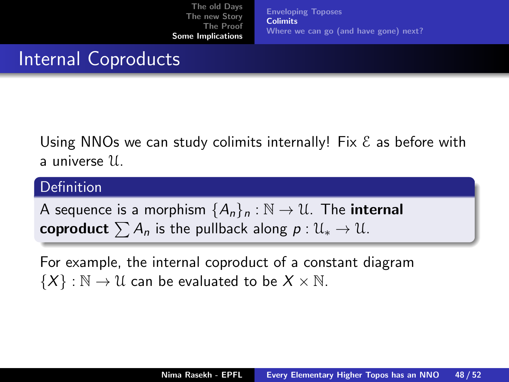[Enveloping Toposes](#page-45-0) **[Colimits](#page-47-0)** [Where we can go \(and have gone\) next?](#page-51-0)

## Internal Coproducts

Using NNOs we can study colimits internally! Fix  $\mathcal E$  as before with a universe U.

#### Definition

A sequence is a morphism  ${A_n}_n : \mathbb{N} \to \mathbb{U}$ . The internal coproduct  $\sum A_n$  is the pullback along  $p : \mathcal{U}_* \to \mathcal{U}$ .

For example, the internal coproduct of a constant diagram  $\{X\} : \mathbb{N} \to \mathbb{U}$  can be evaluated to be  $X \times \mathbb{N}$ .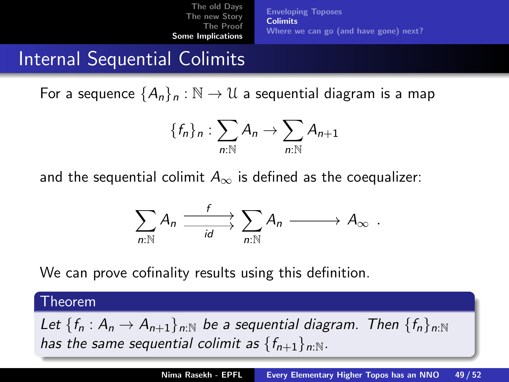[Enveloping Toposes](#page-45-0) **[Colimits](#page-47-0)** [Where we can go \(and have gone\) next?](#page-51-0)

## Internal Sequential Colimits

For a sequence  $\{A_n\}_n : \mathbb{N} \to \mathbb{U}$  a sequential diagram is a map

$$
\{f_n\}_n:\sum_{n:\mathbb{N}}A_n\to\sum_{n:\mathbb{N}}A_{n+1}
$$

and the sequential colimit  $A_{\infty}$  is defined as the coequalizer:

$$
\sum_{n:\mathbb{N}}A_n \xrightarrow{\quad f \quad} \sum_{id}A_n \xrightarrow{\qquad} A_{\infty} \ .
$$

We can prove cofinality results using this definition.

#### Theorem

Let  $\{f_n : A_n \to A_{n+1}\}_{n:\mathbb{N}}$  be a sequential diagram. Then  $\{f_n\}_{n:\mathbb{N}}$ has the same sequential colimit as  ${f_{n+1}}_{n:\mathbb{N}}$ .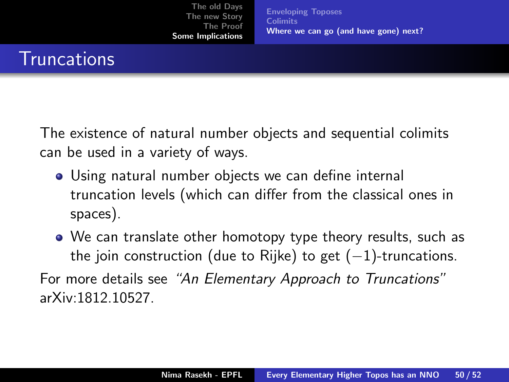[Enveloping Toposes](#page-45-0) **[Colimits](#page-47-0)** [Where we can go \(and have gone\) next?](#page-51-0)

### <span id="page-51-0"></span>**Truncations**

The existence of natural number objects and sequential colimits can be used in a variety of ways.

- Using natural number objects we can define internal truncation levels (which can differ from the classical ones in spaces).
- We can translate other homotopy type theory results, such as the join construction (due to Rijke) to get  $(-1)$ -truncations.

For more details see "An Elementary Approach to Truncations" arXiv:1812.10527.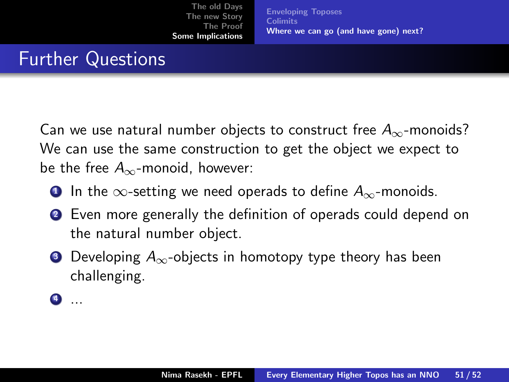[Enveloping Toposes](#page-45-0) **[Colimits](#page-47-0)** [Where we can go \(and have gone\) next?](#page-51-0)

## Further Questions

Can we use natural number objects to construct free  $A_{\infty}$ -monoids? We can use the same construction to get the object we expect to be the free  $A_{\infty}$ -monoid, however:

- **1** In the  $\infty$ -setting we need operads to define  $A_{\infty}$ -monoids.
- <sup>2</sup> Even more generally the definition of operads could depend on the natural number object.
- **3** Developing  $A_{\infty}$ -objects in homotopy type theory has been challenging.

 $\bullet$  ...